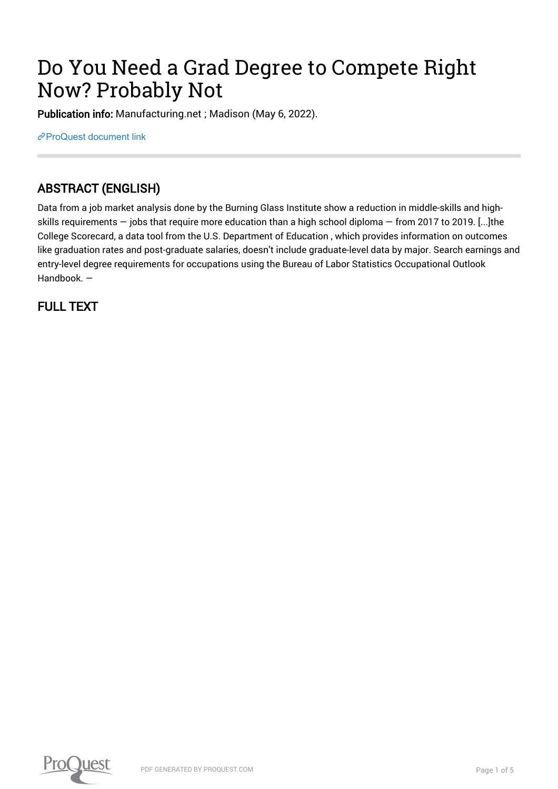# Do You Need a Grad Degree to Compete Right Now? Probably Not

Publication info: Manufacturing.net ; Madison (May 6, 2022).

[ProQuest document link](https://www.proquest.com/trade-journals/do-you-need-grad-degree-compete-right-now/docview/2660193882/se-2?accountid=44910)

## ABSTRACT (ENGLISH)

Data from a job market analysis done by the Burning Glass Institute show a reduction in middle-skills and highskills requirements — jobs that require more education than a high school diploma — from 2017 to 2019. [...]the College Scorecard, a data tool from the U.S. Department of Education , which provides information on outcomes like graduation rates and post-graduate salaries, doesn't include graduate-level data by major. Search earnings and entry-level degree requirements for occupations using the Bureau of Labor Statistics Occupational Outlook Handbook. —

FULL TEXT

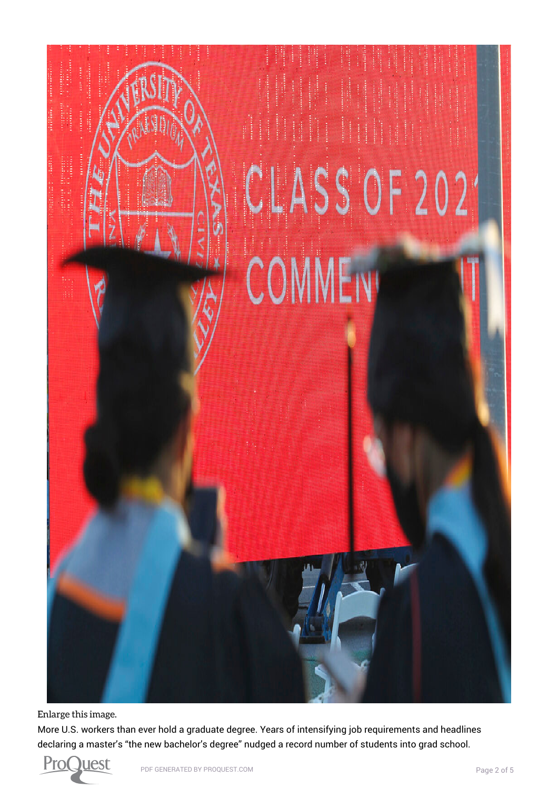

[Enlarge this image.](https://www.proquest.comhttps://www.proquest.com/textgraphic/2660193882/fulltextwithgraphics/F7DBB7FCA0BA4063PQ/1/1?accountid=44910)

More U.S. workers than ever hold a graduate degree. Years of intensifying job requirements and headlines declaring a master's "the new bachelor's degree" nudged a record number of students into grad school.

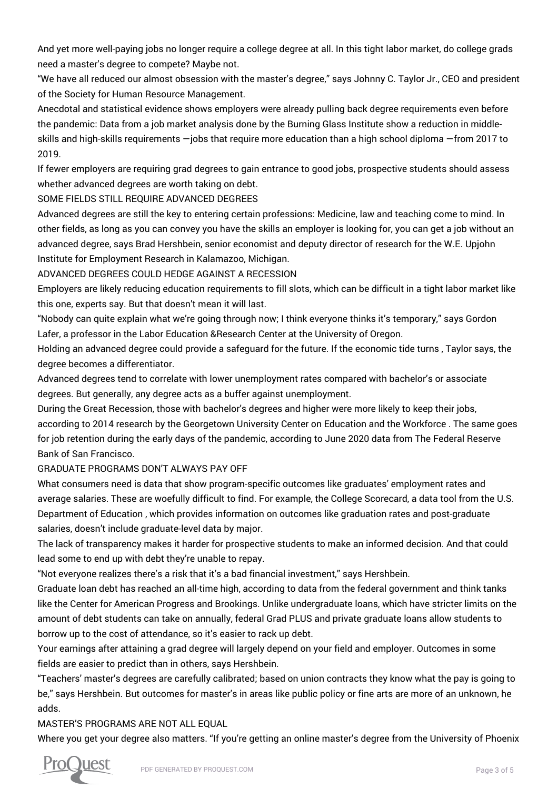And yet more well-paying jobs no longer require a college degree at all. In this tight labor market, do college grads need a master's degree to compete? Maybe not.

"We have all reduced our almost obsession with the master's degree," says Johnny C. Taylor Jr., CEO and president of the Society for Human Resource Management.

Anecdotal and statistical evidence shows employers were already pulling back degree requirements even before the pandemic: Data from a job market analysis done by the Burning Glass Institute show a reduction in middleskills and high-skills requirements —jobs that require more education than a high school diploma —from 2017 to 2019.

If fewer employers are requiring grad degrees to gain entrance to good jobs, prospective students should assess whether advanced degrees are worth taking on debt.

SOME FIELDS STILL REQUIRE ADVANCED DEGREES

Advanced degrees are still the key to entering certain professions: Medicine, law and teaching come to mind. In other fields, as long as you can convey you have the skills an employer is looking for, you can get a job without an advanced degree, says Brad Hershbein, senior economist and deputy director of research for the W.E. Upjohn Institute for Employment Research in Kalamazoo, Michigan.

ADVANCED DEGREES COULD HEDGE AGAINST A RECESSION

Employers are likely reducing education requirements to fill slots, which can be difficult in a tight labor market like this one, experts say. But that doesn't mean it will last.

"Nobody can quite explain what we're going through now; I think everyone thinks it's temporary," says Gordon Lafer, a professor in the Labor Education &Research Center at the University of Oregon.

Holding an advanced degree could provide a safeguard for the future. If the economic tide turns , Taylor says, the degree becomes a differentiator.

Advanced degrees tend to correlate with lower unemployment rates compared with bachelor's or associate degrees. But generally, any degree acts as a buffer against unemployment.

During the Great Recession, those with bachelor's degrees and higher were more likely to keep their jobs, according to 2014 research by the Georgetown University Center on Education and the Workforce . The same goes for job retention during the early days of the pandemic, according to June 2020 data from The Federal Reserve Bank of San Francisco.

#### GRADUATE PROGRAMS DON'T ALWAYS PAY OFF

What consumers need is data that show program-specific outcomes like graduates' employment rates and average salaries. These are woefully difficult to find. For example, the College Scorecard, a data tool from the U.S. Department of Education , which provides information on outcomes like graduation rates and post-graduate salaries, doesn't include graduate-level data by major.

The lack of transparency makes it harder for prospective students to make an informed decision. And that could lead some to end up with debt they're unable to repay.

"Not everyone realizes there's a risk that it's a bad financial investment," says Hershbein.

Graduate loan debt has reached an all-time high, according to data from the federal government and think tanks like the Center for American Progress and Brookings. Unlike undergraduate loans, which have stricter limits on the amount of debt students can take on annually, federal Grad PLUS and private graduate loans allow students to borrow up to the cost of attendance, so it's easier to rack up debt.

Your earnings after attaining a grad degree will largely depend on your field and employer. Outcomes in some fields are easier to predict than in others, says Hershbein.

"Teachers' master's degrees are carefully calibrated; based on union contracts they know what the pay is going to be," says Hershbein. But outcomes for master's in areas like public policy or fine arts are more of an unknown, he adds.

#### MASTER'S PROGRAMS ARE NOT ALL EQUAL

Where you get your degree also matters. "If you're getting an online master's degree from the University of Phoenix

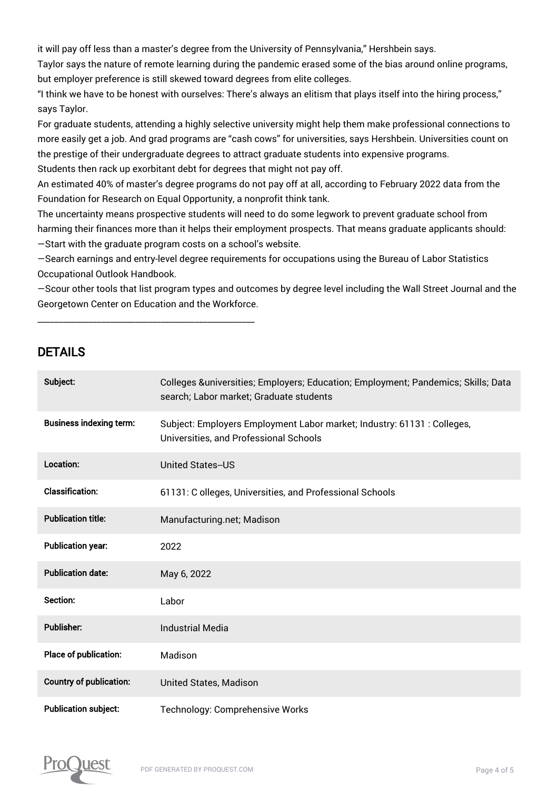it will pay off less than a master's degree from the University of Pennsylvania," Hershbein says.

Taylor says the nature of remote learning during the pandemic erased some of the bias around online programs, but employer preference is still skewed toward degrees from elite colleges.

"I think we have to be honest with ourselves: There's always an elitism that plays itself into the hiring process," says Taylor.

For graduate students, attending a highly selective university might help them make professional connections to more easily get a job. And grad programs are "cash cows" for universities, says Hershbein. Universities count on the prestige of their undergraduate degrees to attract graduate students into expensive programs. Students then rack up exorbitant debt for degrees that might not pay off.

An estimated 40% of master's degree programs do not pay off at all, according to February 2022 data from the Foundation for Research on Equal Opportunity, a nonprofit think tank.

The uncertainty means prospective students will need to do some legwork to prevent graduate school from harming their finances more than it helps their employment prospects. That means graduate applicants should: —Start with the graduate program costs on a school's website.

—Search earnings and entry-level degree requirements for occupations using the Bureau of Labor Statistics Occupational Outlook Handbook.

—Scour other tools that list program types and outcomes by degree level including the Wall Street Journal and the Georgetown Center on Education and the Workforce.

### DETAILS

\_\_\_\_\_\_\_\_\_\_\_\_\_\_\_\_\_\_\_\_\_\_\_\_\_\_\_\_\_\_\_\_\_\_\_\_\_\_\_\_\_\_\_\_\_\_\_\_\_\_\_

| Subject:                       | Colleges &universities Employers; Education; Employment; Pandemics; Skills; Data<br>search; Labor market; Graduate students |
|--------------------------------|-----------------------------------------------------------------------------------------------------------------------------|
| <b>Business indexing term:</b> | Subject: Employers Employment Labor market; Industry: 61131 : Colleges,<br>Universities, and Professional Schools           |
| Location:                      | <b>United States-US</b>                                                                                                     |
| <b>Classification:</b>         | 61131: C olleges, Universities, and Professional Schools                                                                    |
| <b>Publication title:</b>      | Manufacturing.net; Madison                                                                                                  |
| <b>Publication year:</b>       | 2022                                                                                                                        |
| <b>Publication date:</b>       | May 6, 2022                                                                                                                 |
| Section:                       | Labor                                                                                                                       |
| <b>Publisher:</b>              | <b>Industrial Media</b>                                                                                                     |
| Place of publication:          | Madison                                                                                                                     |
| <b>Country of publication:</b> | <b>United States, Madison</b>                                                                                               |
| <b>Publication subject:</b>    | Technology: Comprehensive Works                                                                                             |